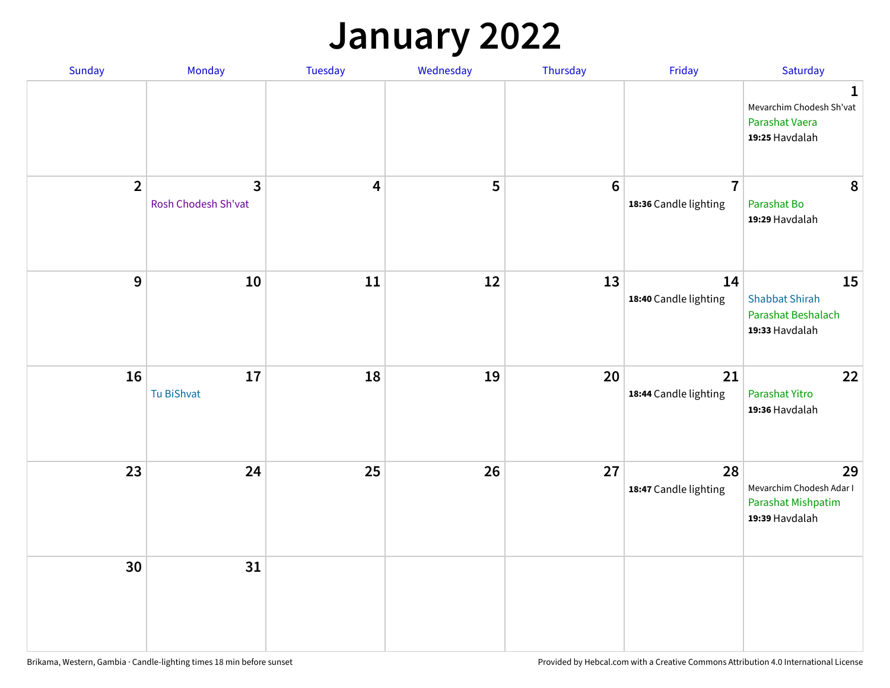## **January 2022**

| Sunday         | Monday                   | Tuesday                 | Wednesday | Thursday         | Friday                                  | Saturday                                                                     |
|----------------|--------------------------|-------------------------|-----------|------------------|-----------------------------------------|------------------------------------------------------------------------------|
|                |                          |                         |           |                  |                                         | $\mathbf{1}$<br>Mevarchim Chodesh Sh'vat<br>Parashat Vaera<br>19:25 Havdalah |
| $\overline{2}$ | 3<br>Rosh Chodesh Sh'vat | $\overline{\mathbf{4}}$ | 5         | $\boldsymbol{6}$ | $\overline{7}$<br>18:36 Candle lighting | 8<br>Parashat Bo<br>19:29 Havdalah                                           |
| $\mathbf{9}$   | 10                       | ${\bf 11}$              | 12        | 13               | 14<br>18:40 Candle lighting             | 15<br><b>Shabbat Shirah</b><br>Parashat Beshalach<br>19:33 Havdalah          |
| 16             | 17<br>Tu BiShvat         | 18                      | 19        | 20               | 21<br>18:44 Candle lighting             | 22<br>Parashat Yitro<br>19:36 Havdalah                                       |
| 23             | 24                       | 25                      | 26        | 27               | 28<br>18:47 Candle lighting             | 29<br>Mevarchim Chodesh Adar I<br>Parashat Mishpatim<br>19:39 Havdalah       |
| 30             | 31                       |                         |           |                  |                                         |                                                                              |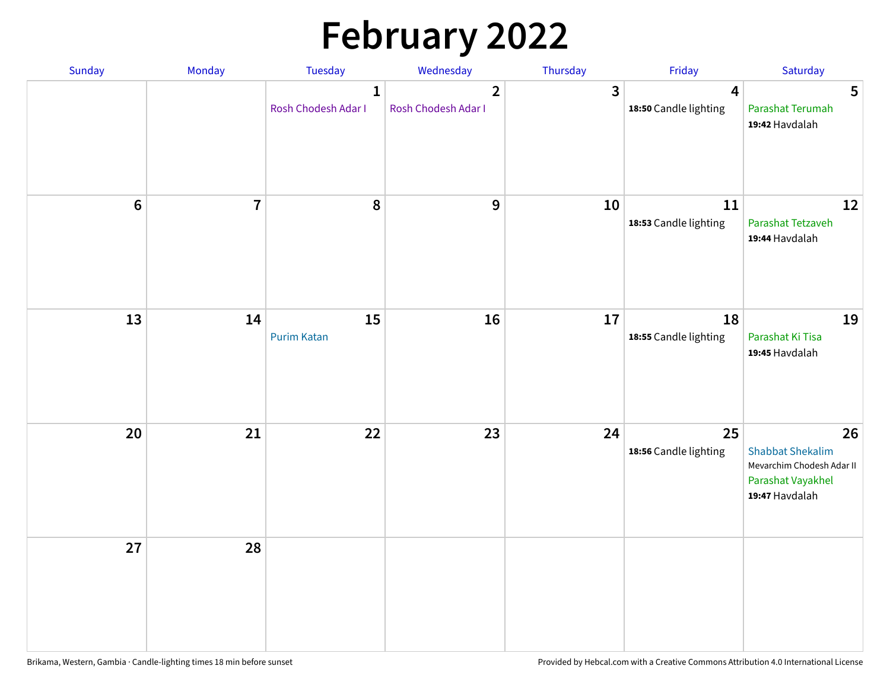# **February 2022**

| Sunday | Monday                  | <b>Tuesday</b>                      | Wednesday                             | Thursday | Friday                                           | Saturday                                                                                          |
|--------|-------------------------|-------------------------------------|---------------------------------------|----------|--------------------------------------------------|---------------------------------------------------------------------------------------------------|
|        |                         | $\mathbf{1}$<br>Rosh Chodesh Adar I | $\overline{2}$<br>Rosh Chodesh Adar I | 3        | $\overline{\mathbf{4}}$<br>18:50 Candle lighting | 5<br>Parashat Terumah<br>19:42 Havdalah                                                           |
| $6\,$  | $\overline{\mathbf{7}}$ | 8                                   | $\boldsymbol{9}$                      | 10       | 11<br>18:53 Candle lighting                      | 12<br>Parashat Tetzaveh<br>19:44 Havdalah                                                         |
| 13     | 14                      | 15<br><b>Purim Katan</b>            | 16                                    | 17       | 18<br>18:55 Candle lighting                      | 19<br>Parashat Ki Tisa<br>19:45 Havdalah                                                          |
| 20     | 21                      | 22                                  | 23                                    | 24       | 25<br>18:56 Candle lighting                      | 26<br><b>Shabbat Shekalim</b><br>Mevarchim Chodesh Adar II<br>Parashat Vayakhel<br>19:47 Havdalah |
| 27     | 28                      |                                     |                                       |          |                                                  |                                                                                                   |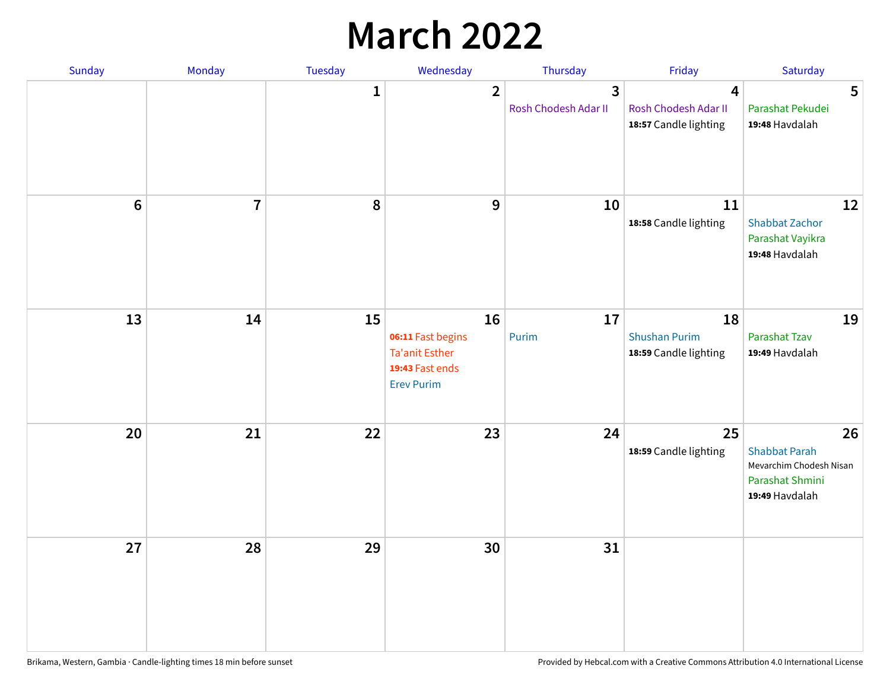## **March 2022**

| Sunday | Monday         | <b>Tuesday</b> | Wednesday                                                                         | Thursday                  | Friday                                              | Saturday                                                                                   |
|--------|----------------|----------------|-----------------------------------------------------------------------------------|---------------------------|-----------------------------------------------------|--------------------------------------------------------------------------------------------|
|        |                | $\mathbf{1}$   | $\overline{2}$                                                                    | 3<br>Rosh Chodesh Adar II | 4<br>Rosh Chodesh Adar II<br>18:57 Candle lighting  | 5<br>Parashat Pekudei<br>19:48 Havdalah                                                    |
| $6\,$  | $\overline{7}$ | 8              | 9                                                                                 | 10                        | 11<br>18:58 Candle lighting                         | 12<br><b>Shabbat Zachor</b><br>Parashat Vayikra<br>19:48 Havdalah                          |
| 13     | 14             | 15             | 16<br>06:11 Fast begins<br>Ta'anit Esther<br>19:43 Fast ends<br><b>Erev Purim</b> | 17<br>Purim               | 18<br><b>Shushan Purim</b><br>18:59 Candle lighting | 19<br>Parashat Tzav<br>19:49 Havdalah                                                      |
| 20     | 21             | 22             | 23                                                                                | 24                        | 25<br>18:59 Candle lighting                         | 26<br><b>Shabbat Parah</b><br>Mevarchim Chodesh Nisan<br>Parashat Shmini<br>19:49 Havdalah |
| 27     | 28             | 29             | 30                                                                                | 31                        |                                                     |                                                                                            |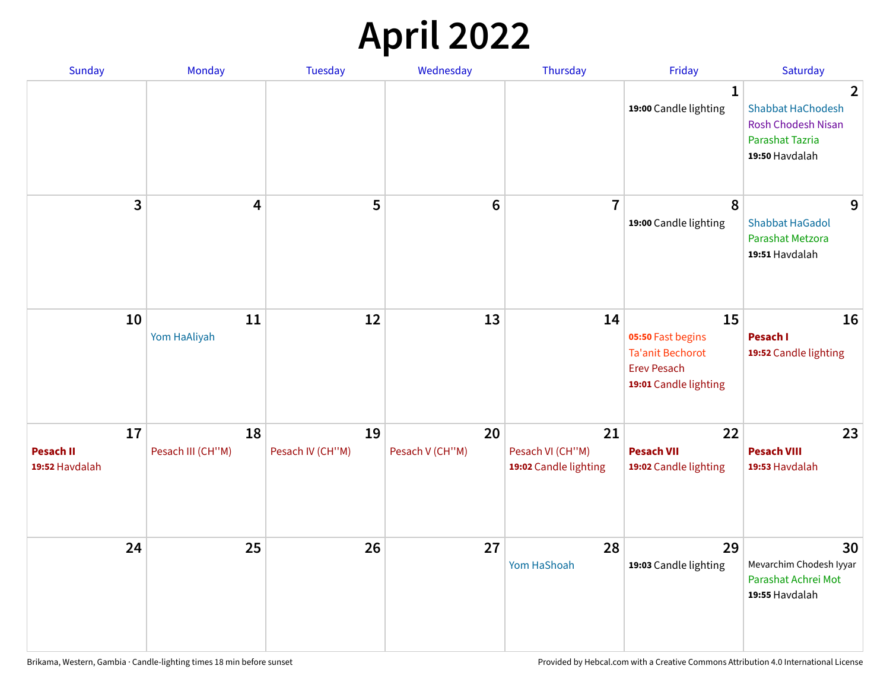## **April 2022**

| Sunday                                   | Monday                  | <b>Tuesday</b>         | Wednesday             | Thursday                                        | Friday                                                                                            | Saturday                                                                                                            |
|------------------------------------------|-------------------------|------------------------|-----------------------|-------------------------------------------------|---------------------------------------------------------------------------------------------------|---------------------------------------------------------------------------------------------------------------------|
|                                          |                         |                        |                       |                                                 | 1<br>19:00 Candle lighting                                                                        | $\overline{2}$<br><b>Shabbat HaChodesh</b><br><b>Rosh Chodesh Nisan</b><br><b>Parashat Tazria</b><br>19:50 Havdalah |
| 3                                        | $\overline{\mathbf{4}}$ | 5                      | $6\phantom{1}6$       | $\overline{7}$                                  | 8<br>19:00 Candle lighting                                                                        | 9<br><b>Shabbat HaGadol</b><br>Parashat Metzora<br>19:51 Havdalah                                                   |
| 10                                       | 11<br>Yom HaAliyah      | 12                     | 13                    | 14                                              | 15<br>05:50 Fast begins<br><b>Ta'anit Bechorot</b><br><b>Erev Pesach</b><br>19:01 Candle lighting | 16<br>Pesach I<br>19:52 Candle lighting                                                                             |
| 17<br><b>Pesach II</b><br>19:52 Havdalah | 18<br>Pesach III (CH"M) | 19<br>Pesach IV (CH"M) | 20<br>Pesach V (CH"M) | 21<br>Pesach VI (CH"M)<br>19:02 Candle lighting | 22<br><b>Pesach VII</b><br>19:02 Candle lighting                                                  | 23<br><b>Pesach VIII</b><br>19:53 Havdalah                                                                          |
| 24                                       | 25                      | 26                     | 27                    | 28<br>Yom HaShoah                               | 29<br>19:03 Candle lighting                                                                       | 30<br>Mevarchim Chodesh Iyyar<br>Parashat Achrei Mot<br>19:55 Havdalah                                              |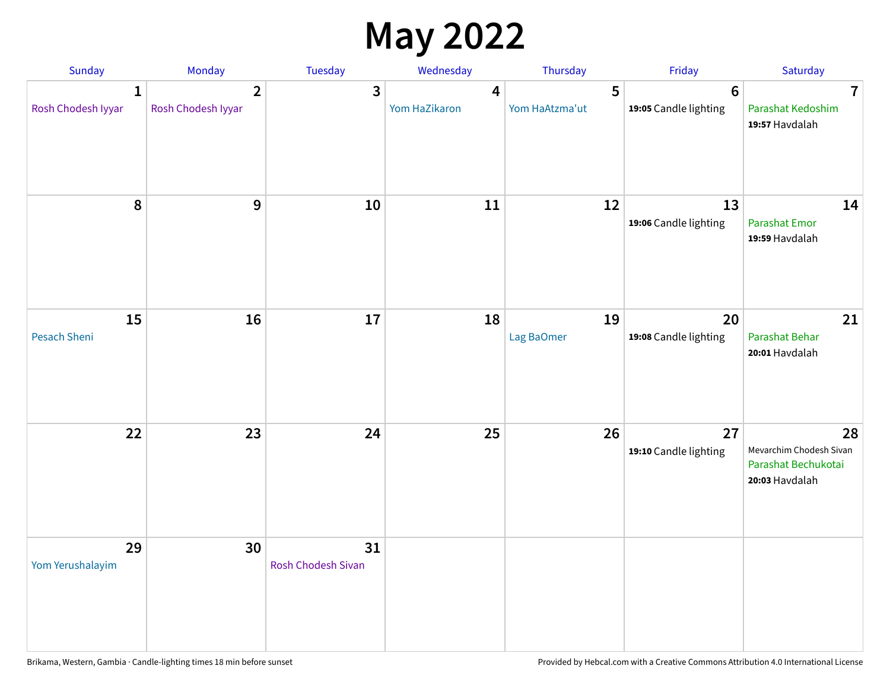## **May 2022**

| Sunday                             | Monday                               | Tuesday                         | Wednesday                         | Thursday            | Friday                                  | Saturday                                                               |
|------------------------------------|--------------------------------------|---------------------------------|-----------------------------------|---------------------|-----------------------------------------|------------------------------------------------------------------------|
| $\mathbf{1}$<br>Rosh Chodesh Iyyar | $\overline{2}$<br>Rosh Chodesh Iyyar | 3                               | $\boldsymbol{4}$<br>Yom HaZikaron | 5<br>Yom HaAtzma'ut | $6\phantom{1}$<br>19:05 Candle lighting | $\overline{7}$<br>Parashat Kedoshim<br>19:57 Havdalah                  |
| 8                                  | 9                                    | 10                              | 11                                | 12                  | 13<br>19:06 Candle lighting             | 14<br><b>Parashat Emor</b><br>19:59 Havdalah                           |
| 15<br>Pesach Sheni                 | 16                                   | 17                              | 18                                | 19<br>Lag BaOmer    | 20<br>19:08 Candle lighting             | 21<br>Parashat Behar<br>20:01 Havdalah                                 |
| 22                                 | 23                                   | 24                              | 25                                | 26                  | 27<br>19:10 Candle lighting             | 28<br>Mevarchim Chodesh Sivan<br>Parashat Bechukotai<br>20:03 Havdalah |
| 29<br>Yom Yerushalayim             | 30                                   | 31<br><b>Rosh Chodesh Sivan</b> |                                   |                     |                                         |                                                                        |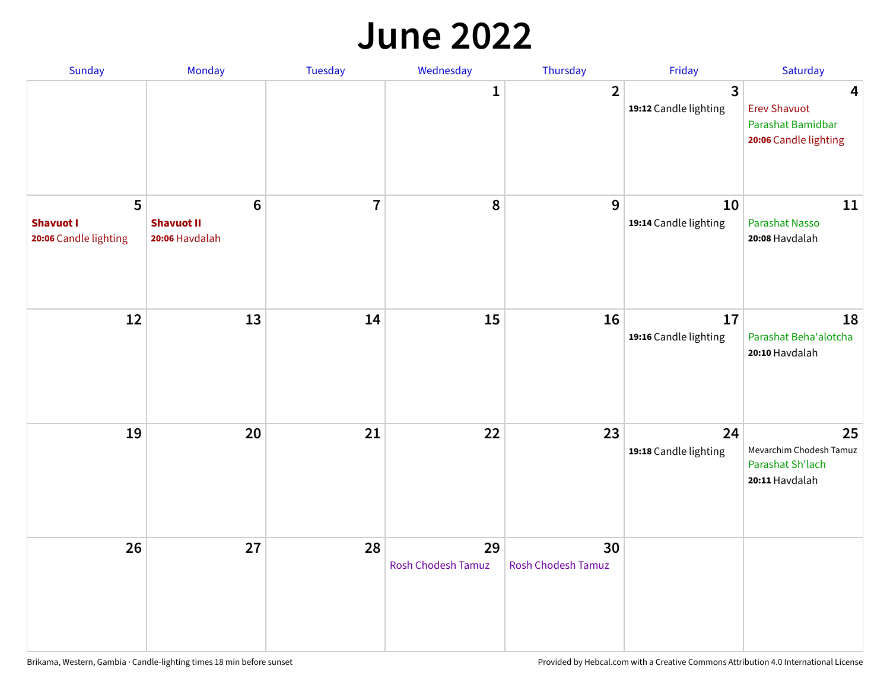#### **June 2022**

| Sunday                                         | Monday                                                | Tuesday        | Wednesday                | Thursday                        | Friday                      | Saturday                                                               |
|------------------------------------------------|-------------------------------------------------------|----------------|--------------------------|---------------------------------|-----------------------------|------------------------------------------------------------------------|
|                                                |                                                       |                | 1                        | $\overline{2}$                  | 3<br>19:12 Candle lighting  | 4<br><b>Erev Shavuot</b><br>Parashat Bamidbar<br>20:06 Candle lighting |
| 5<br><b>Shavuot I</b><br>20:06 Candle lighting | $6\phantom{1}$<br><b>Shavuot II</b><br>20:06 Havdalah | $\overline{7}$ | 8                        | 9                               | 10<br>19:14 Candle lighting | 11<br>Parashat Nasso<br>20:08 Havdalah                                 |
| 12                                             | 13                                                    | 14             | 15                       | 16                              | 17<br>19:16 Candle lighting | 18<br>Parashat Beha'alotcha<br>20:10 Havdalah                          |
| 19                                             | 20                                                    | 21             | 22                       | 23                              | 24<br>19:18 Candle lighting | 25<br>Mevarchim Chodesh Tamuz<br>Parashat Sh'lach<br>20:11 Havdalah    |
| 26                                             | 27                                                    | 28             | 29<br>Rosh Chodesh Tamuz | 30<br><b>Rosh Chodesh Tamuz</b> |                             |                                                                        |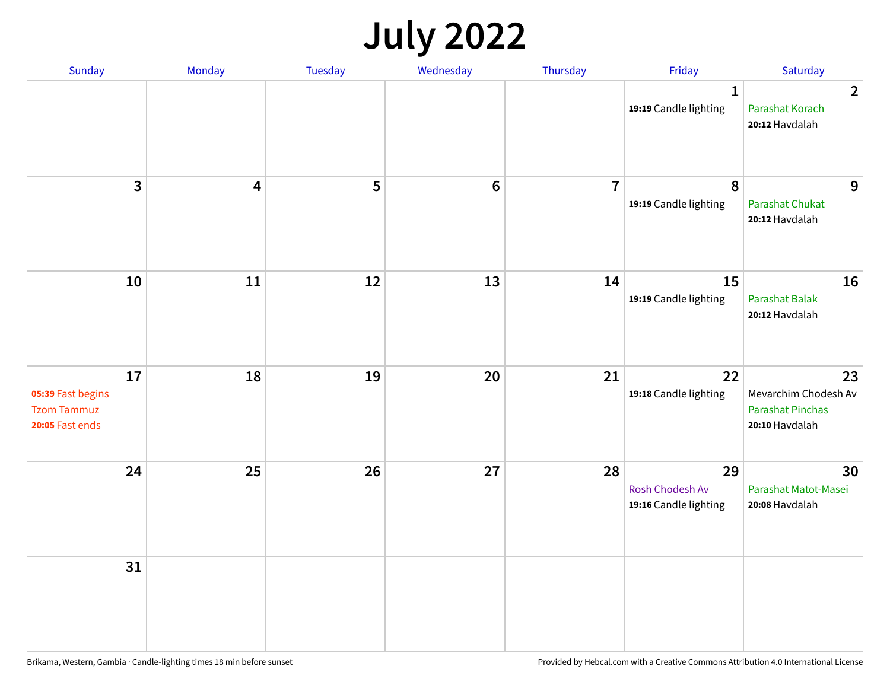## **July 2022**

| Sunday                                                           | Monday     | Tuesday | Wednesday | Thursday       | Friday                                         | Saturday                                                                |
|------------------------------------------------------------------|------------|---------|-----------|----------------|------------------------------------------------|-------------------------------------------------------------------------|
|                                                                  |            |         |           |                | $\mathbf{1}$<br>19:19 Candle lighting          | $\overline{2}$<br>Parashat Korach<br>20:12 Havdalah                     |
| $\mathbf{3}$                                                     | 4          | 5       | $\bf 6$   | $\overline{7}$ | 8<br>19:19 Candle lighting                     | 9<br><b>Parashat Chukat</b><br>20:12 Havdalah                           |
| 10                                                               | ${\bf 11}$ | 12      | 13        | 14             | 15<br>19:19 Candle lighting                    | 16<br><b>Parashat Balak</b><br>20:12 Havdalah                           |
| 17<br>05:39 Fast begins<br><b>Tzom Tammuz</b><br>20:05 Fast ends | 18         | 19      | 20        | 21             | 22<br>19:18 Candle lighting                    | 23<br>Mevarchim Chodesh Av<br><b>Parashat Pinchas</b><br>20:10 Havdalah |
| 24                                                               | 25         | 26      | 27        | 28             | 29<br>Rosh Chodesh Av<br>19:16 Candle lighting | 30<br>Parashat Matot-Masei<br>20:08 Havdalah                            |
| 31                                                               |            |         |           |                |                                                |                                                                         |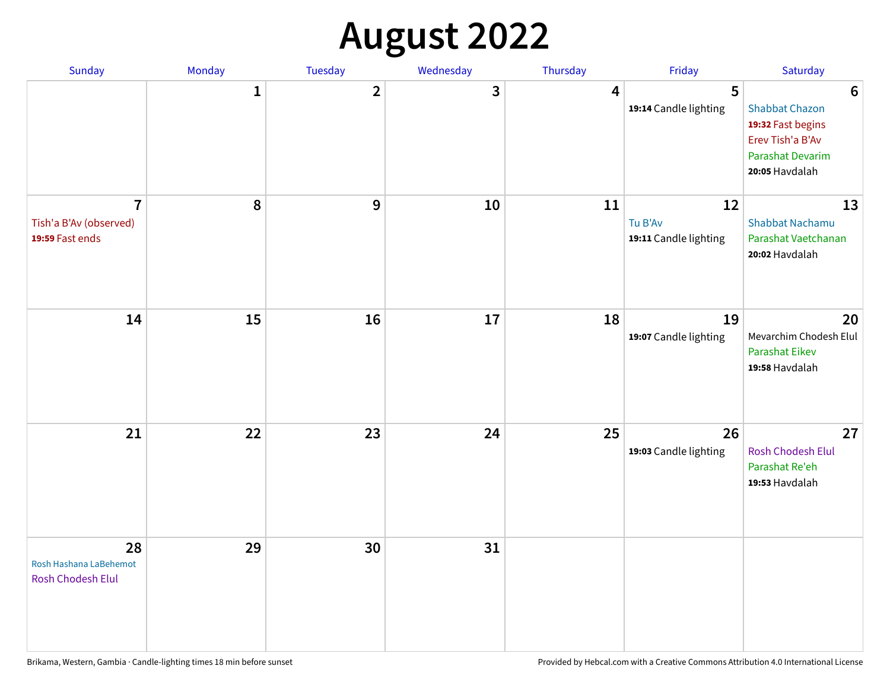## **August 2022**

| Sunday                                                      | Monday       | Tuesday                 | Wednesday | Thursday | Friday                                 | Saturday                                                                                                                       |
|-------------------------------------------------------------|--------------|-------------------------|-----------|----------|----------------------------------------|--------------------------------------------------------------------------------------------------------------------------------|
|                                                             | $\mathbf{1}$ | $\overline{\mathbf{2}}$ | 3         | 4        | 5<br>19:14 Candle lighting             | $6\phantom{1}6$<br><b>Shabbat Chazon</b><br>19:32 Fast begins<br>Erev Tish'a B'Av<br><b>Parashat Devarim</b><br>20:05 Havdalah |
| $\overline{7}$<br>Tish'a B'Av (observed)<br>19:59 Fast ends | 8            | 9                       | 10        | 11       | 12<br>Tu B'Av<br>19:11 Candle lighting | 13<br><b>Shabbat Nachamu</b><br>Parashat Vaetchanan<br>20:02 Havdalah                                                          |
| 14                                                          | 15           | 16                      | 17        | 18       | 19<br>19:07 Candle lighting            | 20<br>Mevarchim Chodesh Elul<br><b>Parashat Eikev</b><br>19:58 Havdalah                                                        |
| 21                                                          | 22           | 23                      | 24        | 25       | 26<br>19:03 Candle lighting            | 27<br><b>Rosh Chodesh Elul</b><br>Parashat Re'eh<br>19:53 Havdalah                                                             |
| 28<br>Rosh Hashana LaBehemot<br><b>Rosh Chodesh Elul</b>    | 29           | 30                      | 31        |          |                                        |                                                                                                                                |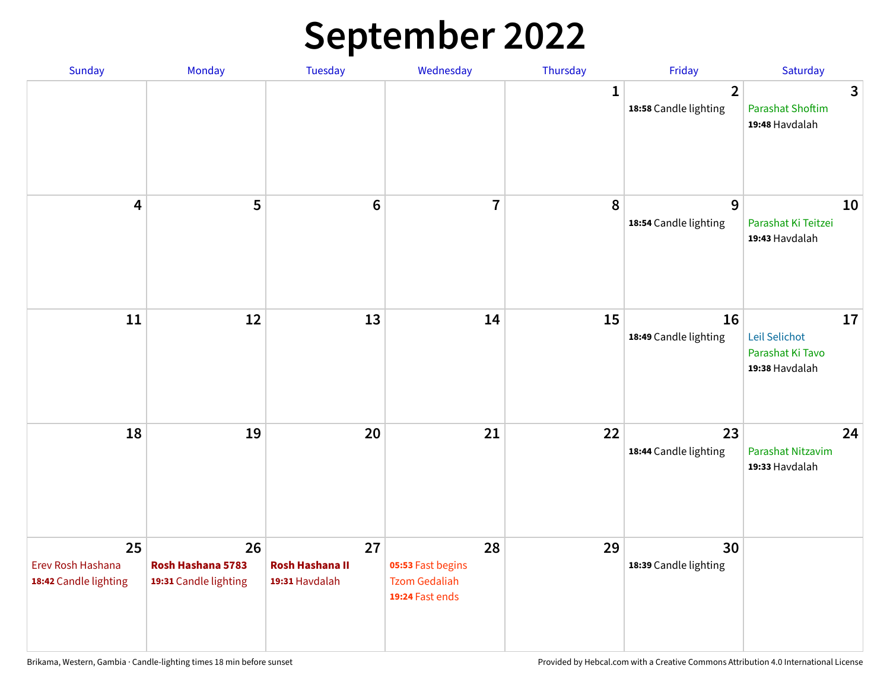## **September 2022**

| Sunday                                           | Monday                                           | Tuesday                                        | Wednesday                                                          | Thursday     | Friday                                  | Saturday                                                  |
|--------------------------------------------------|--------------------------------------------------|------------------------------------------------|--------------------------------------------------------------------|--------------|-----------------------------------------|-----------------------------------------------------------|
|                                                  |                                                  |                                                |                                                                    | $\mathbf{1}$ | $\overline{2}$<br>18:58 Candle lighting | 3<br><b>Parashat Shoftim</b><br>19:48 Havdalah            |
| $\overline{\mathbf{4}}$                          | 5                                                | $6\phantom{1}6$                                | $\overline{7}$                                                     | 8            | 9<br>18:54 Candle lighting              | 10<br>Parashat Ki Teitzei<br>19:43 Havdalah               |
| $11\,$                                           | 12                                               | 13                                             | 14                                                                 | 15           | 16<br>18:49 Candle lighting             | 17<br>Leil Selichot<br>Parashat Ki Tavo<br>19:38 Havdalah |
| 18                                               | 19                                               | 20                                             | 21                                                                 | 22           | 23<br>18:44 Candle lighting             | 24<br>Parashat Nitzavim<br>19:33 Havdalah                 |
| 25<br>Erev Rosh Hashana<br>18:42 Candle lighting | 26<br>Rosh Hashana 5783<br>19:31 Candle lighting | 27<br><b>Rosh Hashana II</b><br>19:31 Havdalah | 28<br>05:53 Fast begins<br><b>Tzom Gedaliah</b><br>19:24 Fast ends | 29           | 30<br>18:39 Candle lighting             |                                                           |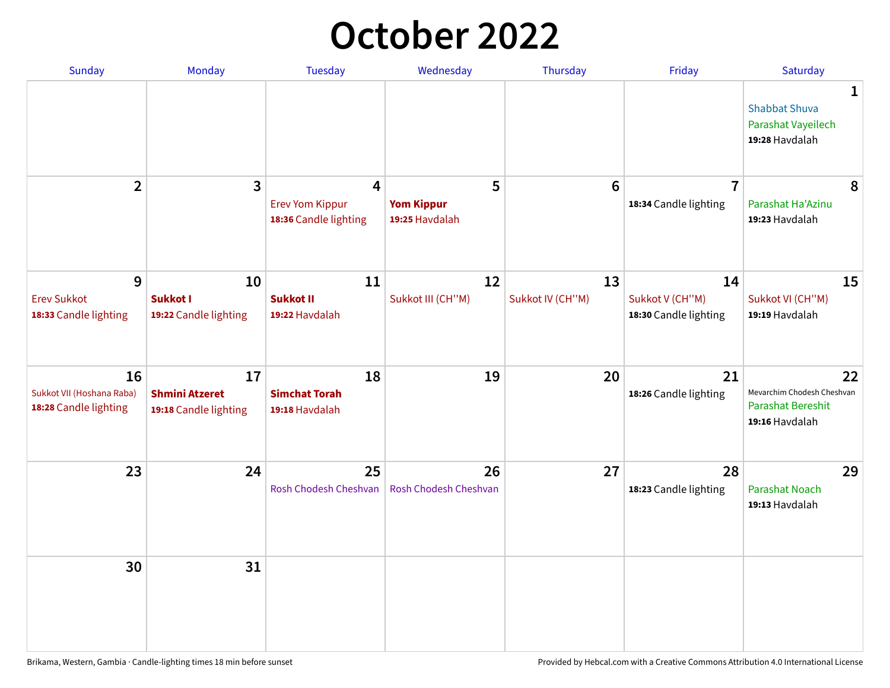## **October 2022**

| Sunday                                                   | <b>Monday</b>                                        | <b>Tuesday</b>                                                    | Wednesday                                | Thursday               | Friday                                         | Saturday                                                                |
|----------------------------------------------------------|------------------------------------------------------|-------------------------------------------------------------------|------------------------------------------|------------------------|------------------------------------------------|-------------------------------------------------------------------------|
|                                                          |                                                      |                                                                   |                                          |                        |                                                | 1<br><b>Shabbat Shuva</b><br>Parashat Vayeilech<br>19:28 Havdalah       |
| $\overline{2}$                                           | $\overline{\mathbf{3}}$                              | $\overline{4}$<br><b>Erev Yom Kippur</b><br>18:36 Candle lighting | 5<br><b>Yom Kippur</b><br>19:25 Havdalah | 6                      | $\overline{7}$<br>18:34 Candle lighting        | 8<br>Parashat Ha'Azinu<br>19:23 Havdalah                                |
| 9<br><b>Erev Sukkot</b><br>18:33 Candle lighting         | 10<br><b>Sukkot I</b><br>19:22 Candle lighting       | 11<br><b>Sukkot II</b><br>19:22 Havdalah                          | 12<br>Sukkot III (CH"M)                  | 13<br>Sukkot IV (CH"M) | 14<br>Sukkot V (CH"M)<br>18:30 Candle lighting | 15<br>Sukkot VI (CH"M)<br>19:19 Havdalah                                |
| 16<br>Sukkot VII (Hoshana Raba)<br>18:28 Candle lighting | 17<br><b>Shmini Atzeret</b><br>19:18 Candle lighting | 18<br><b>Simchat Torah</b><br>19:18 Havdalah                      | 19                                       | 20                     | 21<br>18:26 Candle lighting                    | 22<br>Mevarchim Chodesh Cheshvan<br>Parashat Bereshit<br>19:16 Havdalah |
| 23                                                       | 24                                                   | 25<br>Rosh Chodesh Cheshvan                                       | 26<br>Rosh Chodesh Cheshvan              | 27                     | 28<br>18:23 Candle lighting                    | 29<br><b>Parashat Noach</b><br>19:13 Havdalah                           |
| 30                                                       | 31                                                   |                                                                   |                                          |                        |                                                |                                                                         |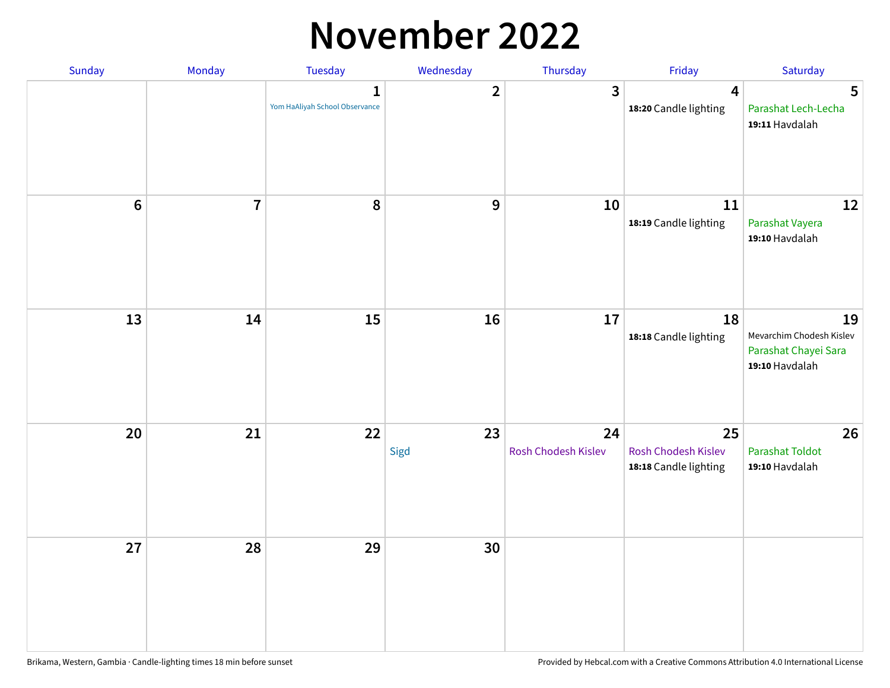### **November 2022**

| Sunday  | Monday         | <b>Tuesday</b>                                 | Wednesday      | Thursday                  | Friday                                             | Saturday                                                                 |
|---------|----------------|------------------------------------------------|----------------|---------------------------|----------------------------------------------------|--------------------------------------------------------------------------|
|         |                | $\mathbf{1}$<br>Yom HaAliyah School Observance | $\overline{2}$ | 3                         | $\overline{\mathbf{4}}$<br>18:20 Candle lighting   | 5<br>Parashat Lech-Lecha<br>19:11 Havdalah                               |
| $\bf 6$ | $\overline{7}$ | 8                                              | $\mathbf 9$    | 10                        | 11<br>18:19 Candle lighting                        | 12<br>Parashat Vayera<br>19:10 Havdalah                                  |
| 13      | 14             | 15                                             | 16             | 17                        | 18<br>18:18 Candle lighting                        | 19<br>Mevarchim Chodesh Kislev<br>Parashat Chayei Sara<br>19:10 Havdalah |
| 20      | 21             | 22                                             | 23<br>Sigd     | 24<br>Rosh Chodesh Kislev | 25<br>Rosh Chodesh Kislev<br>18:18 Candle lighting | 26<br><b>Parashat Toldot</b><br>19:10 Havdalah                           |
| 27      | 28             | 29                                             | 30             |                           |                                                    |                                                                          |